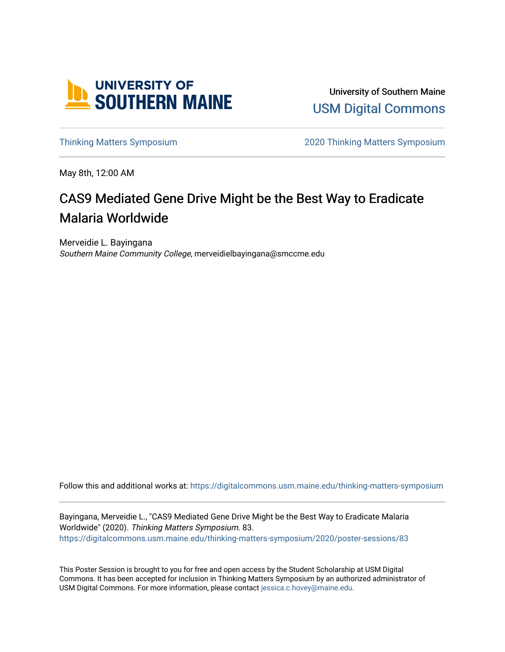

University of Southern Maine [USM Digital Commons](https://digitalcommons.usm.maine.edu/) 

[Thinking Matters Symposium](https://digitalcommons.usm.maine.edu/thinking-matters-symposium) [2020 Thinking Matters Symposium](https://digitalcommons.usm.maine.edu/thinking-matters-symposium/2020) 

May 8th, 12:00 AM

#### CAS9 Mediated Gene Drive Might be the Best Way to Eradicate Malaria Worldwide

Merveidie L. Bayingana Southern Maine Community College, merveidielbayingana@smccme.edu

Follow this and additional works at: [https://digitalcommons.usm.maine.edu/thinking-matters-symposium](https://digitalcommons.usm.maine.edu/thinking-matters-symposium?utm_source=digitalcommons.usm.maine.edu%2Fthinking-matters-symposium%2F2020%2Fposter-sessions%2F83&utm_medium=PDF&utm_campaign=PDFCoverPages) 

Bayingana, Merveidie L., "CAS9 Mediated Gene Drive Might be the Best Way to Eradicate Malaria Worldwide" (2020). Thinking Matters Symposium. 83. [https://digitalcommons.usm.maine.edu/thinking-matters-symposium/2020/poster-sessions/83](https://digitalcommons.usm.maine.edu/thinking-matters-symposium/2020/poster-sessions/83?utm_source=digitalcommons.usm.maine.edu%2Fthinking-matters-symposium%2F2020%2Fposter-sessions%2F83&utm_medium=PDF&utm_campaign=PDFCoverPages) 

This Poster Session is brought to you for free and open access by the Student Scholarship at USM Digital Commons. It has been accepted for inclusion in Thinking Matters Symposium by an authorized administrator of USM Digital Commons. For more information, please contact [jessica.c.hovey@maine.edu](mailto:ian.fowler@maine.edu).